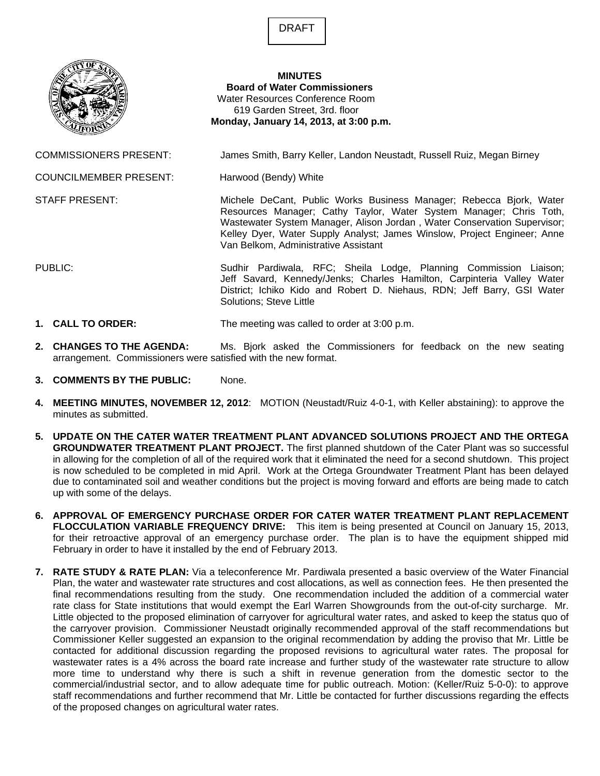DRAFT



## **MINUTES Board of Water Commissioners**  Water Resources Conference Room 619 Garden Street, 3rd. floor  **Monday, January 14, 2013, at 3:00 p.m.**

COMMISSIONERS PRESENT: James Smith, Barry Keller, Landon Neustadt, Russell Ruiz, Megan Birney

COUNCILMEMBER PRESENT: Harwood (Bendy) White

STAFF PRESENT: Michele DeCant, Public Works Business Manager; Rebecca Bjork, Water Resources Manager; Cathy Taylor, Water System Manager; Chris Toth, Wastewater System Manager, Alison Jordan , Water Conservation Supervisor; Kelley Dyer, Water Supply Analyst; James Winslow, Project Engineer; Anne Van Belkom, Administrative Assistant

PUBLIC: Sudhir Pardiwala, RFC; Sheila Lodge, Planning Commission Liaison; Jeff Savard, Kennedy/Jenks; Charles Hamilton, Carpinteria Valley Water District; Ichiko Kido and Robert D. Niehaus, RDN; Jeff Barry, GSI Water Solutions; Steve Little

- **1. CALL TO ORDER:** The meeting was called to order at 3:00 p.m.
- **2. CHANGES TO THE AGENDA:** Ms. Bjork asked the Commissioners for feedback on the new seating arrangement. Commissioners were satisfied with the new format.
- **3. COMMENTS BY THE PUBLIC:** None.
- **4. MEETING MINUTES, NOVEMBER 12, 2012**: MOTION (Neustadt/Ruiz 4-0-1, with Keller abstaining): to approve the minutes as submitted.
- **5. UPDATE ON THE CATER WATER TREATMENT PLANT ADVANCED SOLUTIONS PROJECT AND THE ORTEGA GROUNDWATER TREATMENT PLANT PROJECT.** The first planned shutdown of the Cater Plant was so successful in allowing for the completion of all of the required work that it eliminated the need for a second shutdown. This project is now scheduled to be completed in mid April. Work at the Ortega Groundwater Treatment Plant has been delayed due to contaminated soil and weather conditions but the project is moving forward and efforts are being made to catch up with some of the delays.
- **6. APPROVAL OF EMERGENCY PURCHASE ORDER FOR CATER WATER TREATMENT PLANT REPLACEMENT FLOCCULATION VARIABLE FREQUENCY DRIVE:** This item is being presented at Council on January 15, 2013, for their retroactive approval of an emergency purchase order. The plan is to have the equipment shipped mid February in order to have it installed by the end of February 2013.
- **7. RATE STUDY & RATE PLAN:** Via a teleconference Mr. Pardiwala presented a basic overview of the Water Financial Plan, the water and wastewater rate structures and cost allocations, as well as connection fees. He then presented the final recommendations resulting from the study. One recommendation included the addition of a commercial water rate class for State institutions that would exempt the Earl Warren Showgrounds from the out-of-city surcharge. Mr. Little objected to the proposed elimination of carryover for agricultural water rates, and asked to keep the status quo of the carryover provision. Commissioner Neustadt originally recommended approval of the staff recommendations but Commissioner Keller suggested an expansion to the original recommendation by adding the proviso that Mr. Little be contacted for additional discussion regarding the proposed revisions to agricultural water rates. The proposal for wastewater rates is a 4% across the board rate increase and further study of the wastewater rate structure to allow more time to understand why there is such a shift in revenue generation from the domestic sector to the commercial/industrial sector, and to allow adequate time for public outreach. Motion: (Keller/Ruiz 5-0-0): to approve staff recommendations and further recommend that Mr. Little be contacted for further discussions regarding the effects of the proposed changes on agricultural water rates.